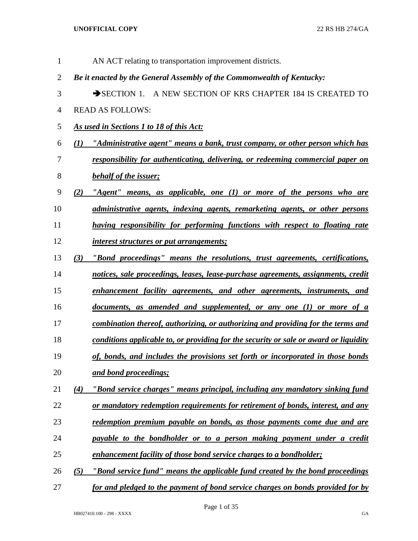| 1              |     | AN ACT relating to transportation improvement districts.                              |
|----------------|-----|---------------------------------------------------------------------------------------|
| $\overline{2}$ |     | Be it enacted by the General Assembly of the Commonwealth of Kentucky:                |
| 3              |     | SECTION 1. A NEW SECTION OF KRS CHAPTER 184 IS CREATED TO                             |
| 4              |     | <b>READ AS FOLLOWS:</b>                                                               |
| 5              |     | As used in Sections 1 to 18 of this Act:                                              |
| 6              |     | (1) "Administrative agent" means a bank, trust company, or other person which has     |
| 7              |     | responsibility for authenticating, delivering, or redeeming commercial paper on       |
| 8              |     | behalf of the issuer;                                                                 |
| 9              | (2) | "Agent" means, as applicable, one $(1)$ or more of the persons who are                |
| 10             |     | administrative agents, indexing agents, remarketing agents, or other persons          |
| 11             |     | having responsibility for performing functions with respect to floating rate          |
| 12             |     | <i>interest structures or put arrangements;</i>                                       |
| 13             | (3) | "Bond proceedings" means the resolutions, trust agreements, certifications,           |
| 14             |     | notices, sale proceedings, leases, lease-purchase agreements, assignments, credit     |
| 15             |     | enhancement facility agreements, and other agreements, instruments, and               |
| 16             |     | documents, as amended and supplemented, or any one (1) or more of a                   |
| 17             |     | combination thereof, authorizing, or authorizing and providing for the terms and      |
| 18             |     | conditions applicable to, or providing for the security or sale or award or liquidity |
| 19             |     | of, bonds, and includes the provisions set forth or incorporated in those bonds       |
| 20             |     | and bond proceedings;                                                                 |
| 21             | (4) | "Bond service charges" means principal, including any mandatory sinking fund          |
| 22             |     | or mandatory redemption requirements for retirement of bonds, interest, and any       |
| 23             |     | redemption premium payable on bonds, as those payments come due and are               |
| 24             |     | payable to the bondholder or to a person making payment under a credit                |
| 25             |     | enhancement facility of those bond service charges to a bondholder;                   |
| 26             | (5) | "Bond service fund" means the applicable fund created by the bond proceedings         |
| 27             |     | for and pledged to the payment of bond service charges on bonds provided for by       |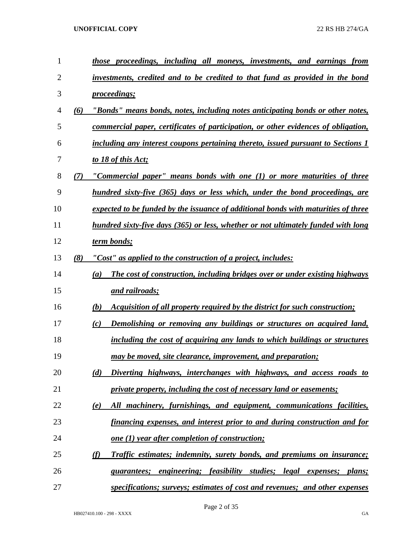| $\mathbf{1}$   |     | those proceedings, including all moneys, investments, and earnings from              |
|----------------|-----|--------------------------------------------------------------------------------------|
| $\overline{2}$ |     | investments, credited and to be credited to that fund as provided in the bond        |
| 3              |     | <i>proceedings;</i>                                                                  |
| $\overline{4}$ | (6) | "Bonds" means bonds, notes, including notes anticipating bonds or other notes,       |
| 5              |     | commercial paper, certificates of participation, or other evidences of obligation,   |
| 6              |     | including any interest coupons pertaining thereto, issued pursuant to Sections 1     |
| 7              |     | to 18 of this Act;                                                                   |
| 8              | (7) | "Commercial paper" means bonds with one (1) or more maturities of three              |
| 9              |     | hundred sixty-five (365) days or less which, under the bond proceedings, are         |
| 10             |     | expected to be funded by the issuance of additional bonds with maturities of three   |
| 11             |     | hundred sixty-five days (365) or less, whether or not ultimately funded with long    |
| 12             |     | term bonds;                                                                          |
| 13             | (8) | "Cost" as applied to the construction of a project, includes:                        |
| 14             |     | The cost of construction, including bridges over or under existing highways<br>(a)   |
| 15             |     | and railroads;                                                                       |
| 16             |     | Acquisition of all property required by the district for such construction;<br>(b)   |
| 17             |     | Demolishing or removing any buildings or structures on acquired land,<br>(c)         |
| 18             |     | including the cost of acquiring any lands to which buildings or structures           |
| 19             |     | may be moved, site clearance, improvement, and preparation;                          |
| 20             |     | Diverting highways, interchanges with highways, and access roads to<br>(d)           |
| 21             |     | private property, including the cost of necessary land or easements;                 |
| 22             |     | All machinery, furnishings, and equipment, communications facilities,<br>(e)         |
| 23             |     | financing expenses, and interest prior to and during construction and for            |
| 24             |     | <u>one (1) year after completion of construction;</u>                                |
| 25             |     | <b>Traffic estimates; indemnity, surety bonds, and premiums on insurance;</b><br>(f) |
| 26             |     | guarantees; engineering; feasibility studies; legal expenses; plans;                 |
| 27             |     | specifications; surveys; estimates of cost and revenues; and other expenses          |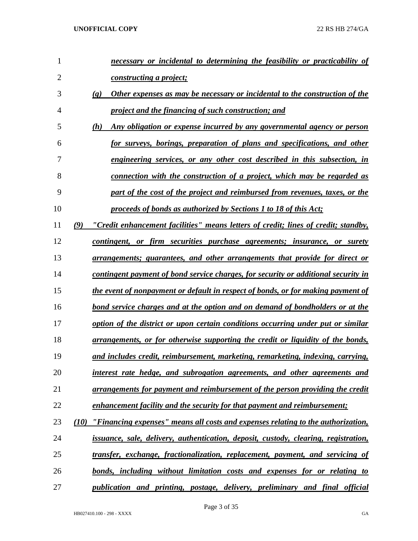| 1              | necessary or incidental to determining the feasibility or practicability of                                |
|----------------|------------------------------------------------------------------------------------------------------------|
| $\overline{2}$ | constructing a project;                                                                                    |
| 3              | Other expenses as may be necessary or incidental to the construction of the<br>$\left( \mathbf{g} \right)$ |
| $\overline{4}$ | project and the financing of such construction; and                                                        |
| 5              | Any obligation or expense incurred by any governmental agency or person<br>(h)                             |
| 6              | for surveys, borings, preparation of plans and specifications, and other                                   |
| 7              | engineering services, or any other cost described in this subsection, in                                   |
| 8              | connection with the construction of a project, which may be regarded as                                    |
| 9              | part of the cost of the project and reimbursed from revenues, taxes, or the                                |
| 10             | proceeds of bonds as authorized by Sections 1 to 18 of this Act;                                           |
| 11             | (9)<br>"Credit enhancement facilities" means letters of credit; lines of credit; standby,                  |
| 12             | contingent, or firm securities purchase agreements; insurance, or surety                                   |
| 13             | arrangements; guarantees, and other arrangements that provide for direct or                                |
| 14             | contingent payment of bond service charges, for security or additional security in                         |
| 15             | the event of nonpayment or default in respect of bonds, or for making payment of                           |
| 16             | <u>bond service charges and at the option and on demand of bondholders or at the</u>                       |
| 17             | option of the district or upon certain conditions occurring under put or similar                           |
| 18             | arrangements, or for otherwise supporting the credit or liquidity of the bonds,                            |
| 19             | and includes credit, reimbursement, marketing, remarketing, indexing, carrying,                            |
| 20             | interest rate hedge, and subrogation agreements, and other agreements and                                  |
| 21             | arrangements for payment and reimbursement of the person providing the credit                              |
| 22             | enhancement facility and the security for that payment and reimbursement;                                  |
| 23             | $(10)$ "Financing expenses" means all costs and expenses relating to the authorization,                    |
| 24             | issuance, sale, delivery, authentication, deposit, custody, clearing, registration,                        |
| 25             | transfer, exchange, fractionalization, replacement, payment, and servicing of                              |
| 26             | bonds, including without limitation costs and expenses for or relating to                                  |
| 27             | publication and printing, postage, delivery, preliminary and final official                                |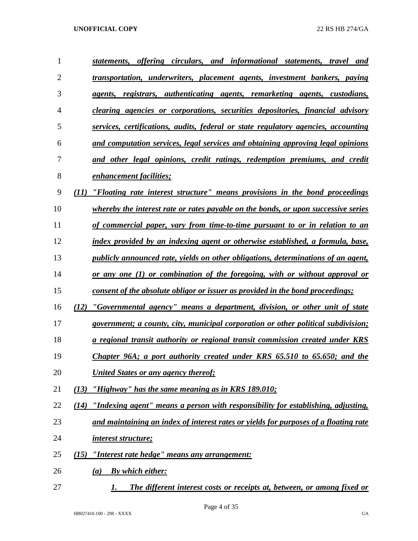| $\mathbf{1}$   | statements, offering circulars, and informational statements, travel and                  |
|----------------|-------------------------------------------------------------------------------------------|
| $\overline{2}$ | <u>transportation, underwriters, placement agents, investment bankers, paying</u>         |
| 3              | <u>agents, registrars, authenticating agents, remarketing agents, custodians,</u>         |
| 4              | <u>clearing agencies or corporations, securities depositories, financial advisory</u>     |
| 5              | services, certifications, audits, federal or state regulatory agencies, accounting        |
| 6              | and computation services, legal services and obtaining approving legal opinions           |
| 7              | and other legal opinions, credit ratings, redemption premiums, and credit                 |
| 8              | <b>enhancement facilities;</b>                                                            |
| 9              | "Floating rate interest structure" means provisions in the bond proceedings<br>(11)       |
| 10             | <i>whereby the interest rate or rates payable on the bonds, or upon successive series</i> |
| 11             | of commercial paper, vary from time-to-time pursuant to or in relation to an              |
| 12             | <u>index provided by an indexing agent or otherwise established, a formula, base,</u>     |
| 13             | <i>publicly announced rate, yields on other obligations, determinations of an agent,</i>  |
| 14             | <u>or any one (1) or combination of the foregoing, with or without approval or</u>        |
| 15             | <u>consent of the absolute obligor or issuer as provided in the bond proceedings;</u>     |
| 16             | "Governmental agency" means a department, division, or other unit of state<br>(12)        |
| 17             | <i>government; a county, city, municipal corporation or other political subdivision;</i>  |
| 18             | a regional transit authority or regional transit commission created under KRS             |
| 19             | Chapter 96A; a port authority created under KRS 65.510 to 65.650; and the                 |
| 20             | United States or any agency thereof;                                                      |
| 21             | "Highway" has the same meaning as in KRS 189.010;<br>(13)                                 |
| 22             | "Indexing agent" means a person with responsibility for establishing, adjusting,<br>(14)  |
| 23             | and maintaining an index of interest rates or yields for purposes of a floating rate      |
| 24             | <i>interest structure;</i>                                                                |
| 25             | "Interest rate hedge" means any arrangement:<br>(15)                                      |
| 26             | <b>By which either:</b><br>(a)                                                            |
| 27             | The different interest costs or receipts at, between, or among fixed or<br>1.             |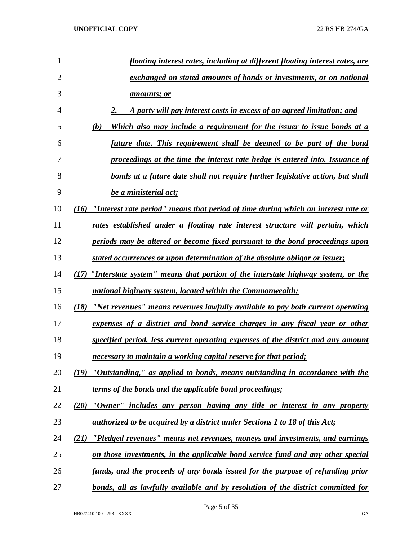| 1  | floating interest rates, including at different floating interest rates, are           |
|----|----------------------------------------------------------------------------------------|
| 2  | exchanged on stated amounts of bonds or investments, or on notional                    |
| 3  | amounts; or                                                                            |
| 4  | A party will pay interest costs in excess of an agreed limitation; and                 |
| 5  | Which also may include a requirement for the issuer to issue bonds at a<br>(b)         |
| 6  | future date. This requirement shall be deemed to be part of the bond                   |
| 7  | proceedings at the time the interest rate hedge is entered into. Issuance of           |
| 8  | bonds at a future date shall not require further legislative action, but shall         |
| 9  | be a ministerial act;                                                                  |
| 10 | (16) "Interest rate period" means that period of time during which an interest rate or |
| 11 | rates established under a floating rate interest structure will pertain, which         |
| 12 | periods may be altered or become fixed pursuant to the bond proceedings upon           |
| 13 | stated occurrences or upon determination of the absolute obligor or issuer;            |
| 14 | (17) "Interstate system" means that portion of the interstate highway system, or the   |
| 15 | national highway system, located within the Commonwealth;                              |
| 16 | "Net revenues" means revenues lawfully available to pay both current operating<br>(18) |
| 17 | expenses of a district and bond service charges in any fiscal year or other            |
| 18 | specified period, less current operating expenses of the district and any amount       |
| 19 | necessary to maintain a working capital reserve for that period;                       |
| 20 | (19) "Outstanding," as applied to bonds, means outstanding in accordance with the      |
| 21 | terms of the bonds and the applicable bond proceedings;                                |
| 22 | "Owner" includes any person having any title or interest in any property<br>(20)       |
| 23 | authorized to be acquired by a district under Sections 1 to 18 of this Act;            |
| 24 | "Pledged revenues" means net revenues, moneys and investments, and earnings<br>(21)    |
| 25 | on those investments, in the applicable bond service fund and any other special        |
| 26 | funds, and the proceeds of any bonds issued for the purpose of refunding prior         |
| 27 | bonds, all as lawfully available and by resolution of the district committed for       |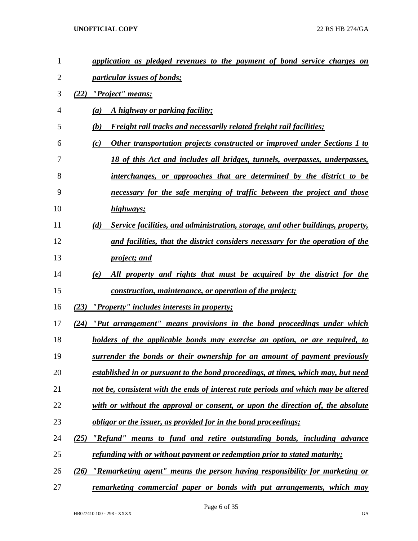| $\mathbf{1}$   | application as pledged revenues to the payment of bond service charges on              |
|----------------|----------------------------------------------------------------------------------------|
| $\overline{2}$ | particular issues of bonds;                                                            |
| 3              | "Project" means:<br>(22)                                                               |
| 4              | A highway or parking facility;<br>(a)                                                  |
| 5              | <b>Freight rail tracks and necessarily related freight rail facilities;</b><br>(b)     |
| 6              | Other transportation projects constructed or improved under Sections 1 to<br>(c)       |
| 7              | 18 of this Act and includes all bridges, tunnels, overpasses, underpasses,             |
| 8              | interchanges, or approaches that are determined by the district to be                  |
| 9              | necessary for the safe merging of traffic between the project and those                |
| 10             | highways;                                                                              |
| 11             | Service facilities, and administration, storage, and other buildings, property,<br>(d) |
| 12             | and facilities, that the district considers necessary for the operation of the         |
| 13             | <i>project; and</i>                                                                    |
| 14             | All property and rights that must be acquired by the district for the<br>(e)           |
| 15             | <u>construction, maintenance, or operation of the project;</u>                         |
| 16             | "Property" includes interests in property;<br>(23)                                     |
| 17             | "Put arrangement" means provisions in the bond proceedings under which<br>(24)         |
| 18             | holders of the applicable bonds may exercise an option, or are required, to            |
| 19             | surrender the bonds or their ownership for an amount of payment previously             |
| 20             | established in or pursuant to the bond proceedings, at times, which may, but need      |
| 21             | not be, consistent with the ends of interest rate periods and which may be altered     |
| 22             | with or without the approval or consent, or upon the direction of, the absolute        |
| 23             | <u>obligor or the issuer, as provided for in the bond proceedings;</u>                 |
| 24             | "Refund" means to fund and retire outstanding bonds, including advance<br>(25)         |
| 25             | refunding with or without payment or redemption prior to stated maturity;              |
| 26             | "Remarketing agent" means the person having responsibility for marketing or<br>(26)    |
| 27             | <u>remarketing commercial paper or bonds with put arrangements, which may</u>          |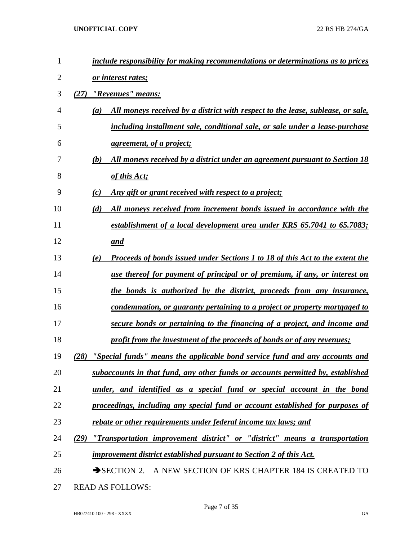| $\mathbf{1}$ | include responsibility for making recommendations or determinations as to prices            |
|--------------|---------------------------------------------------------------------------------------------|
| 2            | or interest rates;                                                                          |
| 3            | "Revenues" means:<br>(27)                                                                   |
| 4            | All moneys received by a district with respect to the lease, sublease, or sale,<br>(a)      |
| 5            | including installment sale, conditional sale, or sale under a lease-purchase                |
| 6            | <i>agreement, of a project;</i>                                                             |
| 7            | All moneys received by a district under an agreement pursuant to Section 18<br>(b)          |
| 8            | of this Act;                                                                                |
| 9            | (c)<br>Any gift or grant received with respect to a project;                                |
| 10           | All moneys received from increment bonds issued in accordance with the<br>(d)               |
| 11           | establishment of a local development area under KRS 65.7041 to 65.7083;                     |
| 12           | and                                                                                         |
| 13           | <b>Proceeds of bonds issued under Sections 1 to 18 of this Act to the extent the</b><br>(e) |
| 14           | use thereof for payment of principal or of premium, if any, or interest on                  |
| 15           | the bonds is authorized by the district, proceeds from any insurance,                       |
| 16           | condemnation, or guaranty pertaining to a project or property mortgaged to                  |
| 17           | secure bonds or pertaining to the financing of a project, and income and                    |
| 18           | profit from the investment of the proceeds of bonds or of any revenues;                     |
| 19           | "Special funds" means the applicable bond service fund and any accounts and<br>(28)         |
| 20           | subaccounts in that fund, any other funds or accounts permitted by, established             |
| 21           | under, and identified as a special fund or special account in the bond                      |
| 22           | proceedings, including any special fund or account established for purposes of              |
| 23           | rebate or other requirements under federal income tax laws; and                             |
| 24           | "Transportation improvement district" or "district" means a transportation<br>(29)          |
| 25           | improvement district established pursuant to Section 2 of this Act.                         |
| 26           | SECTION 2. A NEW SECTION OF KRS CHAPTER 184 IS CREATED TO                                   |
|              |                                                                                             |

READ AS FOLLOWS: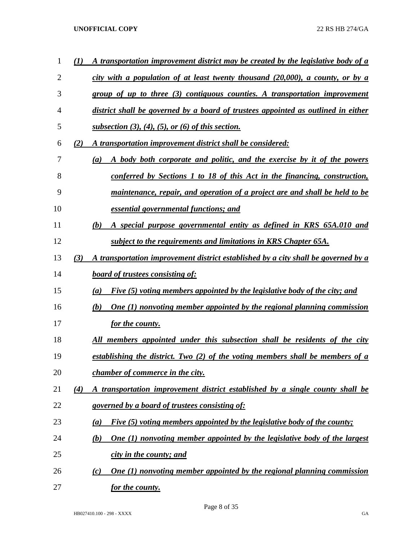| 1  | (1) | A transportation improvement district may be created by the legislative body of a       |
|----|-----|-----------------------------------------------------------------------------------------|
| 2  |     | city with a population of at least twenty thousand $(20,000)$ , a county, or by a       |
| 3  |     | group of up to three (3) contiguous counties. A transportation improvement              |
| 4  |     | district shall be governed by a board of trustees appointed as outlined in either       |
| 5  |     | subsection $(3)$ , $(4)$ , $(5)$ , or $(6)$ of this section.                            |
| 6  | (2) | A transportation improvement district shall be considered:                              |
| 7  |     | A body both corporate and politic, and the exercise by it of the powers<br>(a)          |
| 8  |     | conferred by Sections 1 to 18 of this Act in the financing, construction,               |
| 9  |     | maintenance, repair, and operation of a project are and shall be held to be             |
| 10 |     | essential governmental functions; and                                                   |
| 11 |     | A special purpose governmental entity as defined in KRS 65A.010 and<br>(b)              |
| 12 |     | subject to the requirements and limitations in KRS Chapter 65A.                         |
| 13 | (3) | A transportation improvement district established by a city shall be governed by a      |
| 14 |     | <b>board of trustees consisting of:</b>                                                 |
| 15 |     | Five (5) voting members appointed by the legislative body of the city; and<br>(a)       |
| 16 |     | <b>One (1) nonvoting member appointed by the regional planning commission</b><br>(b)    |
| 17 |     | for the county.                                                                         |
| 18 |     | All members appointed under this subsection shall be residents of the city              |
| 19 |     | establishing the district. Two (2) of the voting members shall be members of a          |
| 20 |     | <i>chamber of commerce in the city.</i>                                                 |
| 21 | (4) | A transportation improvement district established by a single county shall be           |
| 22 |     | governed by a board of trustees consisting of:                                          |
| 23 |     | Five (5) voting members appointed by the legislative body of the county;<br>(a)         |
| 24 |     | <b>One (1) nonvoting member appointed by the legislative body of the largest</b><br>(b) |
| 25 |     | city in the county; and                                                                 |
| 26 |     | <b>One (1) nonvoting member appointed by the regional planning commission</b><br>(c)    |
| 27 |     | <u>for the county.</u>                                                                  |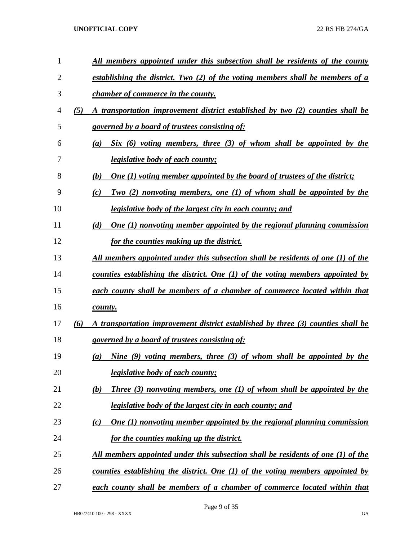| 1  |     | <u>All members appointed under this subsection shall be residents of the county</u>          |
|----|-----|----------------------------------------------------------------------------------------------|
| 2  |     | establishing the district. Two (2) of the voting members shall be members of a               |
| 3  |     | <i>chamber of commerce in the county.</i>                                                    |
| 4  | (5) | A transportation improvement district established by two (2) counties shall be               |
| 5  |     | governed by a board of trustees consisting of:                                               |
| 6  |     | $Six (6) voting members, three (3) of whom shall be appointed by the$<br>(a)                 |
| 7  |     | <i>legislative body of each county;</i>                                                      |
| 8  |     | One (1) voting member appointed by the board of trustees of the district;<br>(b)             |
| 9  |     | Two $(2)$ nonvoting members, one $(1)$ of whom shall be appointed by the<br>(c)              |
| 10 |     | <i>legislative body of the largest city in each county; and</i>                              |
| 11 |     | <b>One (1) nonvoting member appointed by the regional planning commission</b><br>(d)         |
| 12 |     | for the counties making up the district.                                                     |
| 13 |     | <u>All members appointed under this subsection shall be residents of one (1) of the</u>      |
| 14 |     | counties establishing the district. One (1) of the voting members appointed by               |
| 15 |     | each county shall be members of a chamber of commerce located within that                    |
| 16 |     | county.                                                                                      |
| 17 | (6) | A transportation improvement district established by three (3) counties shall be             |
| 18 |     | governed by a board of trustees consisting of:                                               |
| 19 |     | Nine $(9)$ voting members, three $(3)$ of whom shall be appointed by the<br>$\left(a\right)$ |
| 20 |     | legislative body of each county;                                                             |
| 21 |     | Three $(3)$ nonvoting members, one $(1)$ of whom shall be appointed by the<br>(b)            |
| 22 |     | <i>legislative body of the largest city in each county; and</i>                              |
| 23 |     | One $(1)$ nonvoting member appointed by the regional planning commission<br>(c)              |
| 24 |     | for the counties making up the district.                                                     |
| 25 |     | All members appointed under this subsection shall be residents of one (1) of the             |
| 26 |     | counties establishing the district. One $(1)$ of the voting members appointed by             |
| 27 |     | each county shall be members of a chamber of commerce located within that                    |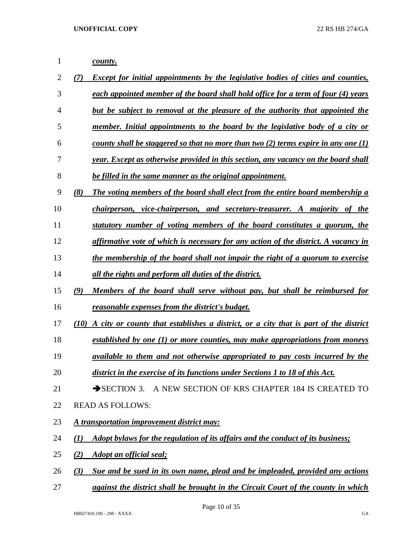| 1              |              | county.                                                                                  |
|----------------|--------------|------------------------------------------------------------------------------------------|
| $\overline{2}$ | (7)          | <i>Except for initial appointments by the legislative bodies of cities and counties,</i> |
| 3              |              | each appointed member of the board shall hold office for a term of four (4) years        |
| 4              |              | but be subject to removal at the pleasure of the authority that appointed the            |
| 5              |              | member. Initial appointments to the board by the legislative body of a city or           |
| 6              |              | county shall be staggered so that no more than two $(2)$ terms expire in any one $(1)$   |
| 7              |              | year. Except as otherwise provided in this section, any vacancy on the board shall       |
| 8              |              | be filled in the same manner as the original appointment.                                |
| 9              | (8)          | The voting members of the board shall elect from the entire board membership a           |
| 10             |              | chairperson, vice-chairperson, and secretary-treasurer. A majority of the                |
| 11             |              | statutory number of voting members of the board constitutes a quorum, the                |
| 12             |              | affirmative vote of which is necessary for any action of the district. A vacancy in      |
| 13             |              | the membership of the board shall not impair the right of a quorum to exercise           |
| 14             |              | all the rights and perform all duties of the district.                                   |
| 15             | (9)          | Members of the board shall serve without pay, but shall be reimbursed for                |
| 16             |              | reasonable expenses from the district's budget.                                          |
| 17             | (10)         | A city or county that establishes a district, or a city that is part of the district     |
| 18             |              | established by one (1) or more counties, may make appropriations from moneys             |
| 19             |              | available to them and not otherwise appropriated to pay costs incurred by the            |
| 20             |              | district in the exercise of its functions under Sections 1 to 18 of this Act.            |
| 21             |              | $\rightarrow$ SECTION 3.<br>A NEW SECTION OF KRS CHAPTER 184 IS CREATED TO               |
| 22             |              | <b>READ AS FOLLOWS:</b>                                                                  |
| 23             |              | A transportation improvement district may:                                               |
| 24             | $\mathbf{U}$ | Adopt bylaws for the regulation of its affairs and the conduct of its business;          |
| 25             | (2)          | <b>Adopt an official seal;</b>                                                           |
| 26             | (3)          | Sue and be sued in its own name, plead and be impleaded, provided any actions            |

*against the district shall be brought in the Circuit Court of the county in which*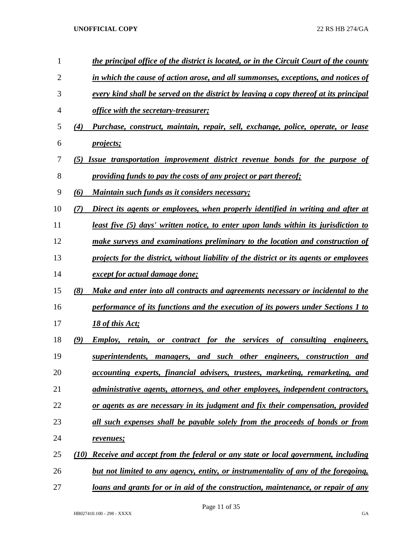| 1              |                               | the principal office of the district is located, or in the Circuit Court of the county    |
|----------------|-------------------------------|-------------------------------------------------------------------------------------------|
| $\overline{2}$ |                               | in which the cause of action arose, and all summonses, exceptions, and notices of         |
| 3              |                               | every kind shall be served on the district by leaving a copy thereof at its principal     |
| 4              |                               | office with the secretary-treasurer;                                                      |
| 5              | (4)                           | Purchase, construct, maintain, repair, sell, exchange, police, operate, or lease          |
| 6              |                               | <i>projects</i> ;                                                                         |
| 7              | (5)                           | <b>Issue transportation improvement district revenue bonds for the purpose of</b>         |
| 8              |                               | providing funds to pay the costs of any project or part thereof;                          |
| 9              | (6)                           | Maintain such funds as it considers necessary;                                            |
| 10             | (7)                           | Direct its agents or employees, when properly identified in writing and after at          |
| 11             |                               | least five (5) days' written notice, to enter upon lands within its jurisdiction to       |
| 12             |                               | make surveys and examinations preliminary to the location and construction of             |
| 13             |                               | projects for the district, without liability of the district or its agents or employees   |
| 14             |                               | <i>except for actual damage done;</i>                                                     |
| 15             | (8)                           | Make and enter into all contracts and agreements necessary or incidental to the           |
| 16             |                               | performance of its functions and the execution of its powers under Sections 1 to          |
| 17             |                               | 18 of this Act;                                                                           |
| 18             | $\boldsymbol{\left(9\right)}$ | <b>Employ, retain, or contract for the services of consulting engineers,</b>              |
| 19             |                               | superintendents, managers, and such other engineers, construction and                     |
| 20             |                               | accounting experts, financial advisers, trustees, marketing, remarketing, and             |
| 21             |                               | administrative agents, attorneys, and other employees, independent contractors,           |
| 22             |                               | or agents as are necessary in its judgment and fix their compensation, provided           |
| 23             |                               | all such expenses shall be payable solely from the proceeds of bonds or from              |
| 24             |                               | revenues;                                                                                 |
| 25             | (10)                          | Receive and accept from the federal or any state or local government, including           |
| 26             |                               | <u>but not limited to any agency, entity, or instrumentality of any of the foregoing,</u> |
| 27             |                               | loans and grants for or in aid of the construction, maintenance, or repair of any         |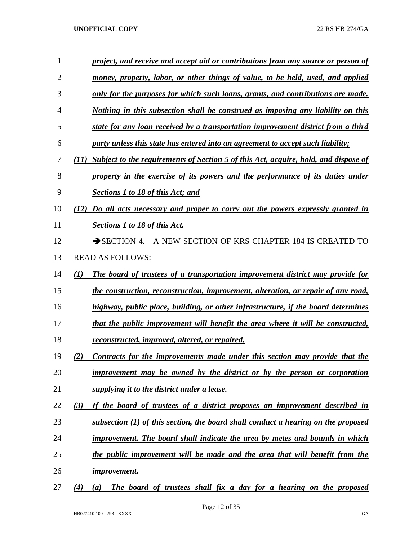| 1              | project, and receive and accept aid or contributions from any source or person of           |
|----------------|---------------------------------------------------------------------------------------------|
| $\overline{2}$ | money, property, labor, or other things of value, to be held, used, and applied             |
| 3              | only for the purposes for which such loans, grants, and contributions are made.             |
| 4              | Nothing in this subsection shall be construed as imposing any liability on this             |
| 5              | state for any loan received by a transportation improvement district from a third           |
| 6              | party unless this state has entered into an agreement to accept such liability;             |
| 7              | Subject to the requirements of Section 5 of this Act, acquire, hold, and dispose of<br>(II) |
| 8              | property in the exercise of its powers and the performance of its duties under              |
| 9              | <b>Sections 1 to 18 of this Act; and</b>                                                    |
| 10             | Do all acts necessary and proper to carry out the powers expressly granted in<br>(12)       |
| 11             | <b>Sections 1 to 18 of this Act.</b>                                                        |
| 12             | A NEW SECTION OF KRS CHAPTER 184 IS CREATED TO<br>$\rightarrow$ SECTION 4.                  |
| 13             | <b>READ AS FOLLOWS:</b>                                                                     |
| 14             | (1)<br>The board of trustees of a transportation improvement district may provide for       |
| 15             | the construction, reconstruction, improvement, alteration, or repair of any road,           |
| 16             | highway, public place, building, or other infrastructure, if the board determines           |
| 17             | that the public improvement will benefit the area where it will be constructed,             |
| 18             | reconstructed, improved, altered, or repaired.                                              |
| 19             | (2)<br>Contracts for the improvements made under this section may provide that the          |
| 20             | improvement may be owned by the district or by the person or corporation                    |
| 21             | supplying it to the district under a lease.                                                 |
| 22             | (3)<br>If the board of trustees of a district proposes an improvement described in          |
| 23             | subsection (1) of this section, the board shall conduct a hearing on the proposed           |
| 24             | improvement. The board shall indicate the area by metes and bounds in which                 |
| 25             | the public improvement will be made and the area that will benefit from the                 |
| 26             | <i>improvement.</i>                                                                         |
| 27             | The board of trustees shall fix a day for a hearing on the proposed<br>(4)<br>(a)           |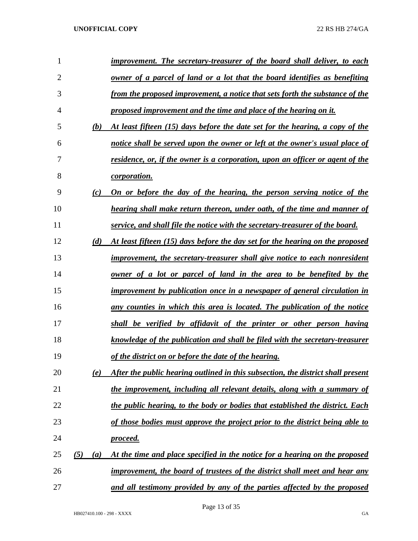| 1              |            | improvement. The secretary-treasurer of the board shall deliver, to each          |
|----------------|------------|-----------------------------------------------------------------------------------|
| $\overline{2}$ |            | owner of a parcel of land or a lot that the board identifies as benefiting        |
| 3              |            | from the proposed improvement, a notice that sets forth the substance of the      |
| 4              |            | proposed improvement and the time and place of the hearing on it.                 |
| 5              | (b)        | At least fifteen (15) days before the date set for the hearing, a copy of the     |
| 6              |            | notice shall be served upon the owner or left at the owner's usual place of       |
| 7              |            | residence, or, if the owner is a corporation, upon an officer or agent of the     |
| 8              |            | <i>corporation.</i>                                                               |
| 9              | (c)        | On or before the day of the hearing, the person serving notice of the             |
| 10             |            | hearing shall make return thereon, under oath, of the time and manner of          |
| 11             |            | service, and shall file the notice with the secretary-treasurer of the board.     |
| 12             | (d)        | At least fifteen (15) days before the day set for the hearing on the proposed     |
| 13             |            | <i>improvement, the secretary-treasurer shall give notice to each nonresident</i> |
| 14             |            | owner of a lot or parcel of land in the area to be benefited by the               |
| 15             |            | improvement by publication once in a newspaper of general circulation in          |
| 16             |            | any counties in which this area is located. The publication of the notice         |
| 17             |            | shall be verified by affidavit of the printer or other person having              |
| 18             |            | knowledge of the publication and shall be filed with the secretary-treasurer      |
| 19             |            | of the district on or before the date of the hearing.                             |
| 20             | (e)        | After the public hearing outlined in this subsection, the district shall present  |
| 21             |            | the improvement, including all relevant details, along with a summary of          |
| 22             |            | the public hearing, to the body or bodies that established the district. Each     |
| 23             |            | of those bodies must approve the project prior to the district being able to      |
| 24             |            | proceed.                                                                          |
| 25             | (5)<br>(a) | At the time and place specified in the notice for a hearing on the proposed       |
| 26             |            | improvement, the board of trustees of the district shall meet and hear any        |
| 27             |            | and all testimony provided by any of the parties affected by the proposed         |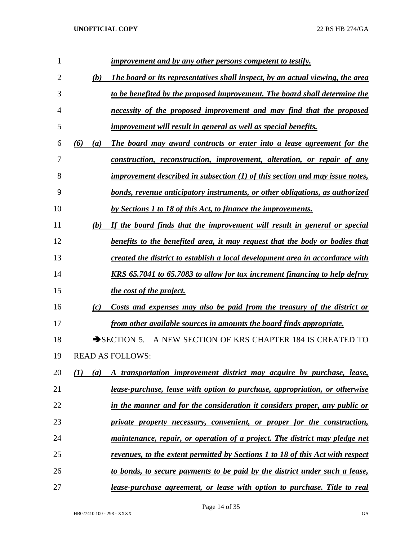| 1  |     |     | <i>improvement and by any other persons competent to testify.</i>              |
|----|-----|-----|--------------------------------------------------------------------------------|
| 2  |     | (b) | The board or its representatives shall inspect, by an actual viewing, the area |
| 3  |     |     | to be benefited by the proposed improvement. The board shall determine the     |
| 4  |     |     | necessity of the proposed improvement and may find that the proposed           |
| 5  |     |     | improvement will result in general as well as special benefits.                |
| 6  | (6) | (a) | The board may award contracts or enter into a lease agreement for the          |
| 7  |     |     | construction, reconstruction, improvement, alteration, or repair of any        |
| 8  |     |     | improvement described in subsection $(1)$ of this section and may issue notes, |
| 9  |     |     | bonds, revenue anticipatory instruments, or other obligations, as authorized   |
| 10 |     |     | by Sections 1 to 18 of this Act, to finance the improvements.                  |
| 11 |     | (b) | If the board finds that the improvement will result in general or special      |
| 12 |     |     | benefits to the benefited area, it may request that the body or bodies that    |
| 13 |     |     | created the district to establish a local development area in accordance with  |
| 14 |     |     | KRS 65.7041 to 65.7083 to allow for tax increment financing to help defray     |
| 15 |     |     | <i>the cost of the project.</i>                                                |
| 16 |     | (c) | Costs and expenses may also be paid from the treasury of the district or       |
| 17 |     |     | from other available sources in amounts the board finds appropriate.           |
| 18 |     |     | A NEW SECTION OF KRS CHAPTER 184 IS CREATED TO<br>$\rightarrow$ SECTION 5.     |
| 19 |     |     | <b>READ AS FOLLOWS:</b>                                                        |
| 20 | (I) | (a) | A transportation improvement district may acquire by purchase, lease,          |
| 21 |     |     | lease-purchase, lease with option to purchase, appropriation, or otherwise     |
| 22 |     |     | in the manner and for the consideration it considers proper, any public or     |
| 23 |     |     | private property necessary, convenient, or proper for the construction,        |
| 24 |     |     | maintenance, repair, or operation of a project. The district may pledge net    |
| 25 |     |     | revenues, to the extent permitted by Sections 1 to 18 of this Act with respect |
| 26 |     |     | to bonds, to secure payments to be paid by the district under such a lease,    |
| 27 |     |     | lease-purchase agreement, or lease with option to purchase. Title to real      |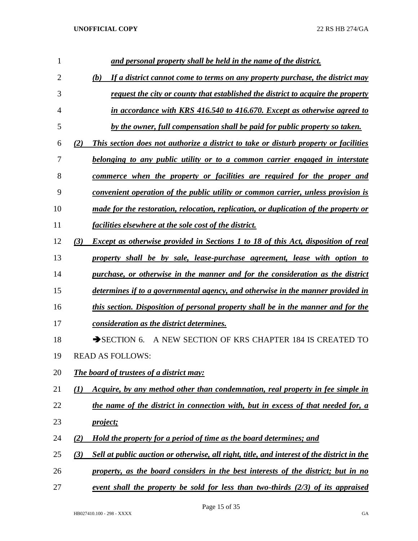| 1  | and personal property shall be held in the name of the district.                                   |
|----|----------------------------------------------------------------------------------------------------|
| 2  | If a district cannot come to terms on any property purchase, the district may<br>(b)               |
| 3  | request the city or county that established the district to acquire the property                   |
| 4  | in accordance with KRS 416.540 to 416.670. Except as otherwise agreed to                           |
| 5  | by the owner, full compensation shall be paid for public property so taken.                        |
| 6  | This section does not authorize a district to take or disturb property or facilities<br>(2)        |
| 7  | belonging to any public utility or to a common carrier engaged in interstate                       |
| 8  | commerce when the property or facilities are required for the proper and                           |
| 9  | convenient operation of the public utility or common carrier, unless provision is                  |
| 10 | made for the restoration, relocation, replication, or duplication of the property or               |
| 11 | facilities elsewhere at the sole cost of the district.                                             |
| 12 | <b>Except as otherwise provided in Sections 1 to 18 of this Act, disposition of real</b><br>(3)    |
| 13 | property shall be by sale, lease-purchase agreement, lease with option to                          |
| 14 | purchase, or otherwise in the manner and for the consideration as the district                     |
| 15 | determines if to a governmental agency, and otherwise in the manner provided in                    |
| 16 | this section. Disposition of personal property shall be in the manner and for the                  |
| 17 | consideration as the district determines.                                                          |
| 18 | A NEW SECTION OF KRS CHAPTER 184 IS CREATED TO<br>$\rightarrow$ SECTION 6.                         |
| 19 | <b>READ AS FOLLOWS:</b>                                                                            |
| 20 | The board of trustees of a district may:                                                           |
| 21 | Acquire, by any method other than condemnation, real property in fee simple in<br>$\mathcal{L}(I)$ |
| 22 | the name of the district in connection with, but in excess of that needed for, a                   |
| 23 | <i>project;</i>                                                                                    |
| 24 | Hold the property for a period of time as the board determines; and<br>(2)                         |
| 25 | Sell at public auction or otherwise, all right, title, and interest of the district in the<br>(3)  |
| 26 | property, as the board considers in the best interests of the district; but in no                  |
| 27 | event shall the property be sold for less than two-thirds $(2/3)$ of its appraised                 |

Page 15 of 35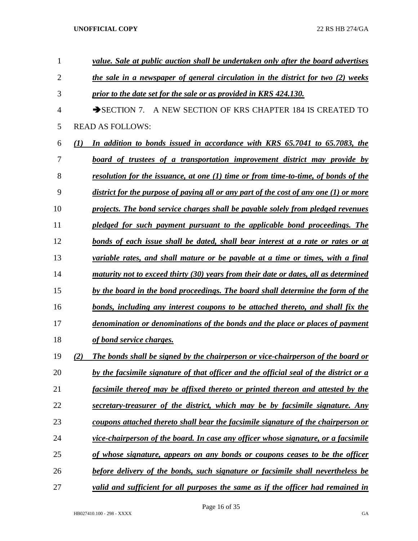| 1              | value. Sale at public auction shall be undertaken only after the board advertises              |
|----------------|------------------------------------------------------------------------------------------------|
| $\overline{2}$ | the sale in a newspaper of general circulation in the district for two (2) weeks               |
| 3              | prior to the date set for the sale or as provided in KRS 424.130.                              |
| 4              | A NEW SECTION OF KRS CHAPTER 184 IS CREATED TO<br>$\rightarrow$ SECTION 7.                     |
| 5              | <b>READ AS FOLLOWS:</b>                                                                        |
| 6              | In addition to bonds issued in accordance with KRS 65.7041 to 65.7083, the<br>$\mathcal{L}(I)$ |
| 7              | board of trustees of a transportation improvement district may provide by                      |
| 8              | resolution for the issuance, at one (1) time or from time-to-time, of bonds of the             |
| 9              | district for the purpose of paying all or any part of the cost of any one $(1)$ or more        |
| 10             | projects. The bond service charges shall be payable solely from pledged revenues               |
| 11             | pledged for such payment pursuant to the applicable bond proceedings. The                      |
| 12             | bonds of each issue shall be dated, shall bear interest at a rate or rates or at               |
| 13             | variable rates, and shall mature or be payable at a time or times, with a final                |
| 14             | maturity not to exceed thirty (30) years from their date or dates, all as determined           |
| 15             | by the board in the bond proceedings. The board shall determine the form of the                |
| 16             | bonds, including any interest coupons to be attached thereto, and shall fix the                |
| 17             | denomination or denominations of the bonds and the place or places of payment                  |
| 18             | of bond service charges.                                                                       |
| 19             | The bonds shall be signed by the chairperson or vice-chairperson of the board or<br>(2)        |
| 20             | by the facsimile signature of that officer and the official seal of the district or a          |
| 21             | facsimile thereof may be affixed thereto or printed thereon and attested by the                |
| 22             | secretary-treasurer of the district, which may be by facsimile signature. Any                  |
| 23             | coupons attached thereto shall bear the facsimile signature of the chairperson or              |
| 24             | vice-chairperson of the board. In case any officer whose signature, or a facsimile             |
| 25             | of whose signature, appears on any bonds or coupons ceases to be the officer                   |
| 26             | before delivery of the bonds, such signature or facsimile shall nevertheless be                |
| 27             | valid and sufficient for all purposes the same as if the officer had remained in               |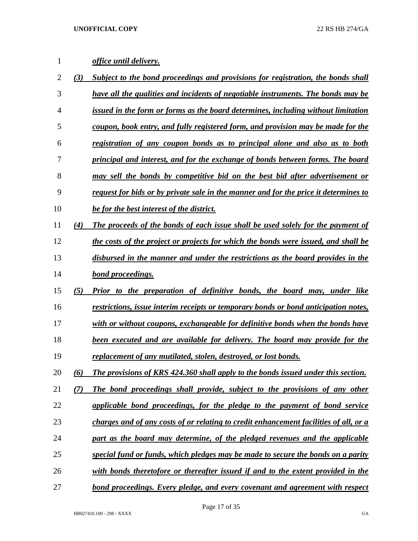# *office until delivery.*

| 2  | (3) | Subject to the bond proceedings and provisions for registration, the bonds shall            |
|----|-----|---------------------------------------------------------------------------------------------|
| 3  |     | have all the qualities and incidents of negotiable instruments. The bonds may be            |
| 4  |     | issued in the form or forms as the board determines, including without limitation           |
| 5  |     | coupon, book entry, and fully registered form, and provision may be made for the            |
| 6  |     | registration of any coupon bonds as to principal alone and also as to both                  |
| 7  |     | principal and interest, and for the exchange of bonds between forms. The board              |
| 8  |     | may sell the bonds by competitive bid on the best bid after advertisement or                |
| 9  |     | <u>request for bids or by private sale in the manner and for the price it determines to</u> |
| 10 |     | <b>be for the best interest of the district.</b>                                            |
| 11 | (4) | The proceeds of the bonds of each issue shall be used solely for the payment of             |
| 12 |     | the costs of the project or projects for which the bonds were issued, and shall be          |
| 13 |     | disbursed in the manner and under the restrictions as the board provides in the             |
| 14 |     | bond proceedings.                                                                           |
| 15 | (5) | Prior to the preparation of definitive bonds, the board may, under like                     |
| 16 |     | restrictions, issue interim receipts or temporary bonds or bond anticipation notes,         |
| 17 |     | with or without coupons, exchangeable for definitive bonds when the bonds have              |
| 18 |     | <b>been executed and are available for delivery. The board may provide for the</b>          |
| 19 |     | replacement of any mutilated, stolen, destroyed, or lost bonds.                             |
| 20 | (6) | The provisions of KRS 424.360 shall apply to the bonds issued under this section.           |
| 21 | (7) | The bond proceedings shall provide, subject to the provisions of any other                  |
| 22 |     | applicable bond proceedings, for the pledge to the payment of bond service                  |
| 23 |     | charges and of any costs of or relating to credit enhancement facilities of all, or a       |
| 24 |     | part as the board may determine, of the pledged revenues and the applicable                 |
| 25 |     | special fund or funds, which pledges may be made to secure the bonds on a parity            |
| 26 |     | with bonds theretofore or thereafter issued if and to the extent provided in the            |
| 27 |     | bond proceedings. Every pledge, and every covenant and agreement with respect               |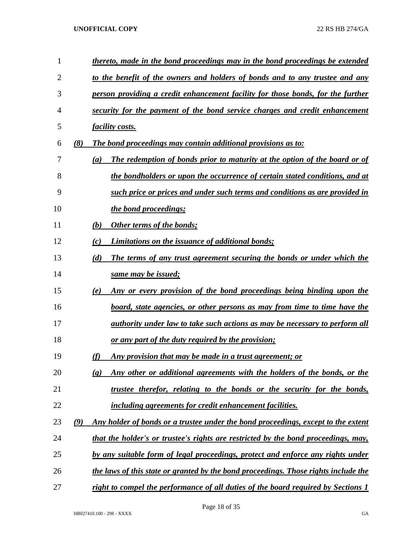| 1              |     | thereto, made in the bond proceedings may in the bond proceedings be extended                           |
|----------------|-----|---------------------------------------------------------------------------------------------------------|
| $\overline{2}$ |     | to the benefit of the owners and holders of bonds and to any trustee and any                            |
| 3              |     | person providing a credit enhancement facility for those bonds, for the further                         |
| 4              |     | security for the payment of the bond service charges and credit enhancement                             |
| 5              |     | <u>facility costs.</u>                                                                                  |
| 6              | (8) | The bond proceedings may contain additional provisions as to:                                           |
| 7              |     | The redemption of bonds prior to maturity at the option of the board or of<br>(a)                       |
| 8              |     | the bondholders or upon the occurrence of certain stated conditions, and at                             |
| 9              |     | such price or prices and under such terms and conditions as are provided in                             |
| 10             |     | the bond proceedings;                                                                                   |
| 11             |     | Other terms of the bonds;<br>(b)                                                                        |
| 12             |     | <b>Limitations on the issuance of additional bonds;</b><br>(c)                                          |
| 13             |     | The terms of any trust agreement securing the bonds or under which the<br>(d)                           |
| 14             |     | same may be issued;                                                                                     |
| 15             |     | Any or every provision of the bond proceedings being binding upon the<br>(e)                            |
| 16             |     | <u>board, state agencies, or other persons as may from time to time have the</u>                        |
| 17             |     | <u>authority under law to take such actions as may be necessary to perform all</u>                      |
| 18             |     | <u>or any part of the duty required by the provision;</u>                                               |
| 19             |     | Any provision that may be made in a trust agreement; or<br>(f)                                          |
| 20             |     | Any other or additional agreements with the holders of the bonds, or the<br>$\left( \mathbf{g} \right)$ |
| 21             |     | trustee therefor, relating to the bonds or the security for the bonds,                                  |
| 22             |     | including agreements for credit enhancement facilities.                                                 |
| 23             | (9) | Any holder of bonds or a trustee under the bond proceedings, except to the extent                       |
| 24             |     | that the holder's or trustee's rights are restricted by the bond proceedings, may,                      |
| 25             |     | by any suitable form of legal proceedings, protect and enforce any rights under                         |
| 26             |     | the laws of this state or granted by the bond proceedings. Those rights include the                     |
| 27             |     | right to compel the performance of all duties of the board required by Sections 1                       |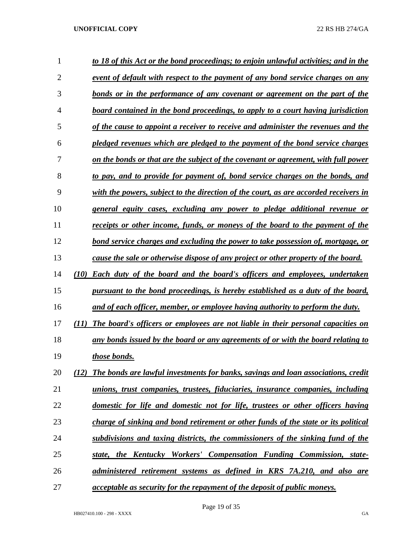| $\mathbf{1}$   | to 18 of this Act or the bond proceedings; to enjoin unlawful activities; and in the      |
|----------------|-------------------------------------------------------------------------------------------|
| $\overline{2}$ | event of default with respect to the payment of any bond service charges on any           |
| 3              | bonds or in the performance of any covenant or agreement on the part of the               |
| 4              | board contained in the bond proceedings, to apply to a court having jurisdiction          |
| 5              | of the cause to appoint a receiver to receive and administer the revenues and the         |
| 6              | pledged revenues which are pledged to the payment of the bond service charges             |
| 7              | on the bonds or that are the subject of the covenant or agreement, with full power        |
| 8              | to pay, and to provide for payment of, bond service charges on the bonds, and             |
| 9              | with the powers, subject to the direction of the court, as are accorded receivers in      |
| 10             | general equity cases, excluding any power to pledge additional revenue or                 |
| 11             | receipts or other income, funds, or moneys of the board to the payment of the             |
| 12             | bond service charges and excluding the power to take possession of, mortgage, or          |
| 13             | cause the sale or otherwise dispose of any project or other property of the board.        |
| 14             | (10)<br><b>Each duty of the board and the board's officers and employees, undertaken</b>  |
| 15             | pursuant to the bond proceedings, is hereby established as a duty of the board,           |
| 16             | and of each officer, member, or employee having authority to perform the duty.            |
| 17             | (11)<br>The board's officers or employees are not liable in their personal capacities on  |
| 18             | any bonds issued by the board or any agreements of or with the board relating to          |
| 19             | those bonds.                                                                              |
| 20             | The bonds are lawful investments for banks, savings and loan associations, credit<br>(12) |
| 21             | unions, trust companies, trustees, fiduciaries, insurance companies, including            |
| 22             | domestic for life and domestic not for life, trustees or other officers having            |
| 23             | charge of sinking and bond retirement or other funds of the state or its political        |
| 24             | subdivisions and taxing districts, the commissioners of the sinking fund of the           |
| 25             | state, the Kentucky Workers' Compensation Funding Commission, state-                      |
| 26             | administered retirement systems as defined in KRS 7A.210, and also are                    |
| 27             | <i>acceptable as security for the repayment of the deposit of public moneys.</i>          |

Page 19 of 35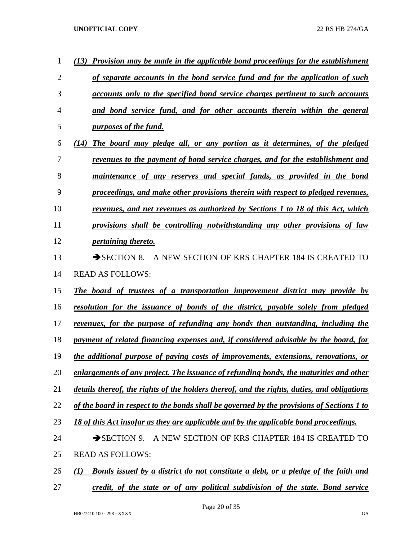| 1              | (13) Provision may be made in the applicable bond proceedings for the establishment                   |
|----------------|-------------------------------------------------------------------------------------------------------|
| $\overline{2}$ | of separate accounts in the bond service fund and for the application of such                         |
| 3              | accounts only to the specified bond service charges pertinent to such accounts                        |
| 4              | and bond service fund, and for other accounts therein within the general                              |
| 5              | <i>purposes of the fund.</i>                                                                          |
| 6              | (14) The board may pledge all, or any portion as it determines, of the pledged                        |
| 7              | revenues to the payment of bond service charges, and for the establishment and                        |
| 8              | maintenance of any reserves and special funds, as provided in the bond                                |
| 9              | proceedings, and make other provisions therein with respect to pledged revenues,                      |
| 10             | revenues, and net revenues as authorized by Sections 1 to 18 of this Act, which                       |
| 11             | provisions shall be controlling notwithstanding any other provisions of law                           |
| 12             | <i>pertaining thereto.</i>                                                                            |
| 13             | A NEW SECTION OF KRS CHAPTER 184 IS CREATED TO<br>$\rightarrow$ SECTION 8.                            |
| 14             | <b>READ AS FOLLOWS:</b>                                                                               |
| 15             | The board of trustees of a transportation improvement district may provide by                         |
| 16             | <u>resolution for the issuance of bonds of the district, payable solely from pledged</u>              |
| 17             | revenues, for the purpose of refunding any bonds then outstanding, including the                      |
| 18             | payment of related financing expenses and, if considered advisable by the board, for                  |
| 19             | the additional purpose of paying costs of improvements, extensions, renovations, or                   |
| 20             | enlargements of any project. The issuance of refunding bonds, the maturities and other                |
| 21             | details thereof, the rights of the holders thereof, and the rights, duties, and obligations           |
| 22             | of the board in respect to the bonds shall be governed by the provisions of Sections 1 to             |
| 23             | 18 of this Act insofar as they are applicable and by the applicable bond proceedings.                 |
| 24             | A NEW SECTION OF KRS CHAPTER 184 IS CREATED TO<br>SECTION 9.                                          |
| 25             | <b>READ AS FOLLOWS:</b>                                                                               |
| 26             | Bonds issued by a district do not constitute a debt, or a pledge of the faith and<br>$\mathcal{L}(I)$ |
| 27             | credit, of the state or of any political subdivision of the state. Bond service                       |

Page 20 of 35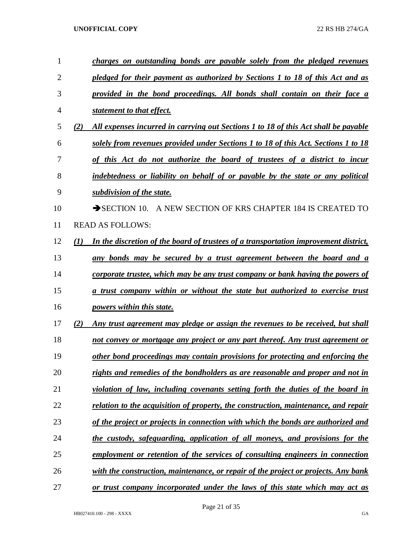| 1              |     | charges on outstanding bonds are payable solely from the pledged revenues            |
|----------------|-----|--------------------------------------------------------------------------------------|
| $\overline{2}$ |     | pledged for their payment as authorized by Sections 1 to 18 of this Act and as       |
| 3              |     | provided in the bond proceedings. All bonds shall contain on their face a            |
| $\overline{4}$ |     | statement to that effect.                                                            |
| 5              | (2) | All expenses incurred in carrying out Sections 1 to 18 of this Act shall be payable  |
| 6              |     | solely from revenues provided under Sections 1 to 18 of this Act. Sections 1 to 18   |
| 7              |     | of this Act do not authorize the board of trustees of a district to incur            |
| 8              |     | indebtedness or liability on behalf of or payable by the state or any political      |
| 9              |     | subdivision of the state.                                                            |
| 10             |     | SECTION 10. A NEW SECTION OF KRS CHAPTER 184 IS CREATED TO                           |
| 11             |     | <b>READ AS FOLLOWS:</b>                                                              |
| 12             | (1) | In the discretion of the board of trustees of a transportation improvement district, |
| 13             |     | any bonds may be secured by a trust agreement between the board and a                |
| 14             |     | corporate trustee, which may be any trust company or bank having the powers of       |
| 15             |     | a trust company within or without the state but authorized to exercise trust         |
| 16             |     | powers within this state.                                                            |
| 17             | (2) | Any trust agreement may pledge or assign the revenues to be received, but shall      |
| 18             |     | not convey or mortgage any project or any part thereof. Any trust agreement or       |
| 19             |     | other bond proceedings may contain provisions for protecting and enforcing the       |
| 20             |     | rights and remedies of the bondholders as are reasonable and proper and not in       |
| 21             |     | violation of law, including covenants setting forth the duties of the board in       |
| 22             |     | relation to the acquisition of property, the construction, maintenance, and repair   |
| 23             |     | of the project or projects in connection with which the bonds are authorized and     |
| 24             |     | the custody, safeguarding, application of all moneys, and provisions for the         |
| 25             |     | employment or retention of the services of consulting engineers in connection        |
| 26             |     | with the construction, maintenance, or repair of the project or projects. Any bank   |
| 27             |     | or trust company incorporated under the laws of this state which may act as          |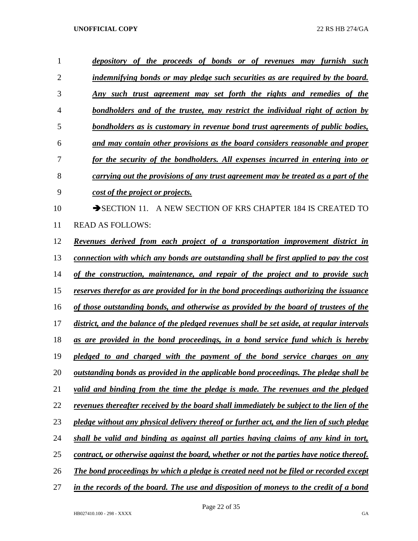| 1              | depository of the proceeds of bonds or of revenues may furnish such                              |
|----------------|--------------------------------------------------------------------------------------------------|
| $\overline{2}$ | indemnifying bonds or may pledge such securities as are required by the board.                   |
| 3              | <u>Any such trust agreement may set forth the rights and remedies of the</u>                     |
| 4              | <u>bondholders and of the trustee, may restrict the individual right of action by</u>            |
| 5              | <u>bondholders as is customary in revenue bond trust agreements of public bodies,</u>            |
| 6              | and may contain other provisions as the board considers reasonable and proper                    |
| 7              | for the security of the bondholders. All expenses incurred in entering into or                   |
| 8              | carrying out the provisions of any trust agreement may be treated as a part of the               |
| 9              | <u>cost of the project or projects.</u>                                                          |
| 10             | A NEW SECTION OF KRS CHAPTER 184 IS CREATED TO<br>$\rightarrow$ SECTION 11.                      |
| 11             | <b>READ AS FOLLOWS:</b>                                                                          |
| 12             | Revenues derived from each project of a transportation improvement district in                   |
| 13             | <u>connection with which any bonds are outstanding shall be first applied to pay the cost</u>    |
| 14             | of the construction, maintenance, and repair of the project and to provide such                  |
| 15             | reserves therefor as are provided for in the bond proceedings authorizing the issuance           |
| 16             | of those outstanding bonds, and otherwise as provided by the board of trustees of the            |
| 17             | district, and the balance of the pledged revenues shall be set aside, at regular intervals       |
| 18             | as are provided in the bond proceedings, in a bond service fund which is hereby                  |
| 19             | pledged to and charged with the payment of the bond service charges on any                       |
| 20             | <u>outstanding bonds as provided in the applicable bond proceedings. The pledge shall be</u>     |
| 21             | valid and binding from the time the pledge is made. The revenues and the pledged                 |
| 22             | <u>revenues thereafter received by the board shall immediately be subject to the lien of the</u> |
| 23             | pledge without any physical delivery thereof or further act, and the lien of such pledge         |
| 24             | shall be valid and binding as against all parties having claims of any kind in tort,             |
| 25             | contract, or otherwise against the board, whether or not the parties have notice thereof.        |
| 26             | <u>The bond proceedings by which a pledge is created need not be filed or recorded except</u>    |
| 27             | in the records of the board. The use and disposition of moneys to the credit of a bond           |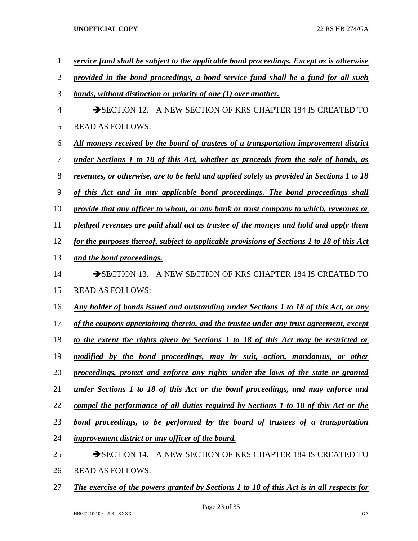| $\mathbf{1}$   | service fund shall be subject to the applicable bond proceedings. Except as is otherwise         |
|----------------|--------------------------------------------------------------------------------------------------|
| $\overline{2}$ | provided in the bond proceedings, a bond service fund shall be a fund for all such               |
| 3              | <u>bonds, without distinction or priority of one (1) over another.</u>                           |
| $\overline{4}$ | SECTION 12. A NEW SECTION OF KRS CHAPTER 184 IS CREATED TO                                       |
| 5              | <b>READ AS FOLLOWS:</b>                                                                          |
| 6              | All moneys received by the board of trustees of a transportation improvement district            |
| 7              | <u>under Sections 1 to 18 of this Act, whether as proceeds from the sale of bonds, as</u>        |
| 8              | <u>revenues, or otherwise, are to be held and applied solely as provided in Sections 1 to 18</u> |
| $\mathbf{9}$   | of this Act and in any applicable bond proceedings. The bond proceedings shall                   |
| 10             | provide that any officer to whom, or any bank or trust company to which, revenues or             |
| 11             | pledged revenues are paid shall act as trustee of the moneys and hold and apply them             |
| 12             | for the purposes thereof, subject to applicable provisions of Sections 1 to 18 of this Act       |
| 13             | and the bond proceedings.                                                                        |
| 14             | SECTION 13. A NEW SECTION OF KRS CHAPTER 184 IS CREATED TO                                       |
| 15             | <b>READ AS FOLLOWS:</b>                                                                          |
| 16             | Any holder of bonds issued and outstanding under Sections 1 to 18 of this Act, or any            |
| 17             | of the coupons appertaining thereto, and the trustee under any trust agreement, except           |
| 18             | to the extent the rights given by Sections 1 to 18 of this Act may be restricted or              |
| 19             | modified by the bond proceedings, may by suit, action, mandamus, or other                        |
| 20             | proceedings, protect and enforce any rights under the laws of the state or granted               |
| 21             | <u>under Sections 1 to 18 of this Act or the bond proceedings, and may enforce and</u>           |
| 22             | compel the performance of all duties required by Sections 1 to 18 of this Act or the             |
| 23             | <u>bond proceedings, to be performed by the board of trustees of a transportation</u>            |
| 24             | improvement district or any officer of the board.                                                |
| 25             | SECTION 14. A NEW SECTION OF KRS CHAPTER 184 IS CREATED TO                                       |
| 26             | <b>READ AS FOLLOWS:</b>                                                                          |

*The exercise of the powers granted by Sections 1 to 18 of this Act is in all respects for*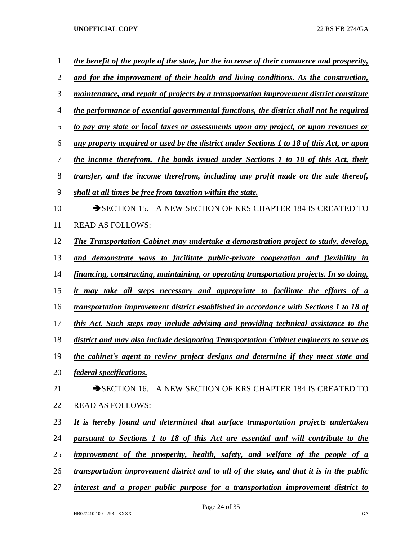| $\mathbf{1}$   | the benefit of the people of the state, for the increase of their commerce and prosperity, |
|----------------|--------------------------------------------------------------------------------------------|
| $\overline{2}$ | and for the improvement of their health and living conditions. As the construction,        |
| 3              | maintenance, and repair of projects by a transportation improvement district constitute    |
| $\overline{4}$ | the performance of essential governmental functions, the district shall not be required    |
| 5              | to pay any state or local taxes or assessments upon any project, or upon revenues or       |
| 6              | any property acquired or used by the district under Sections 1 to 18 of this Act, or upon  |
| 7              | the income therefrom. The bonds issued under Sections 1 to 18 of this Act, their           |
| 8              | transfer, and the income therefrom, including any profit made on the sale thereof,         |
| 9              | shall at all times be free from taxation within the state.                                 |
| 10             | SECTION 15. A NEW SECTION OF KRS CHAPTER 184 IS CREATED TO                                 |
| 11             | <b>READ AS FOLLOWS:</b>                                                                    |
| 12             | The Transportation Cabinet may undertake a demonstration project to study, develop,        |
| 13             | and demonstrate ways to facilitate public-private cooperation and flexibility in           |
| 14             | financing, constructing, maintaining, or operating transportation projects. In so doing,   |
| 15             | it may take all steps necessary and appropriate to facilitate the efforts of a             |
| 16             | transportation improvement district established in accordance with Sections 1 to 18 of     |
| 17             | this Act. Such steps may include advising and providing technical assistance to the        |
| 18             | district and may also include designating Transportation Cabinet engineers to serve as     |
| 19             | the cabinet's agent to review project designs and determine if they meet state and         |
| 20             | <i>federal specifications.</i>                                                             |
| 21             | SECTION 16. A NEW SECTION OF KRS CHAPTER 184 IS CREATED TO                                 |
| 22             | <b>READ AS FOLLOWS:</b>                                                                    |
| 23             | It is hereby found and determined that surface transportation projects undertaken          |
| 24             | pursuant to Sections 1 to 18 of this Act are essential and will contribute to the          |
| 25             | improvement of the prosperity, health, safety, and welfare of the people of a              |
| 26             | transportation improvement district and to all of the state, and that it is in the public  |
| 27             | interest and a proper public purpose for a transportation improvement district to          |

Page 24 of 35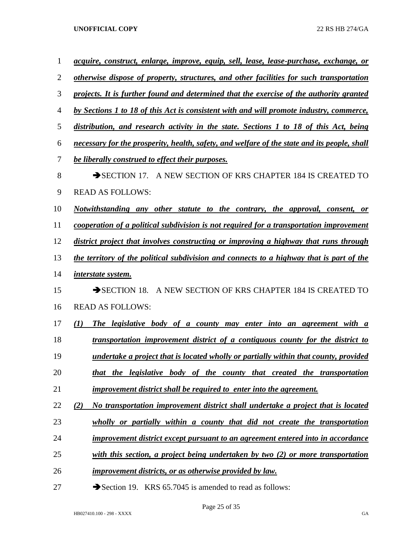| <i>acquire, construct, enlarge, improve, equip, sell, lease, lease-purchase, exchange, or</i> |
|-----------------------------------------------------------------------------------------------|
| otherwise dispose of property, structures, and other facilities for such transportation       |
| projects. It is further found and determined that the exercise of the authority granted       |
| by Sections 1 to 18 of this Act is consistent with and will promote industry, commerce,       |
| distribution, and research activity in the state. Sections 1 to 18 of this Act, being         |
| necessary for the prosperity, health, safety, and welfare of the state and its people, shall  |
| be liberally construed to effect their purposes.                                              |
| A NEW SECTION OF KRS CHAPTER 184 IS CREATED TO<br>$\rightarrow$ SECTION 17.                   |
| <b>READ AS FOLLOWS:</b>                                                                       |
| Notwithstanding any other statute to the contrary, the approval, consent, or                  |
| cooperation of a political subdivision is not required for a transportation improvement       |
| district project that involves constructing or improving a highway that runs through          |
| the territory of the political subdivision and connects to a highway that is part of the      |
| <i>interstate system.</i>                                                                     |
| A NEW SECTION OF KRS CHAPTER 184 IS CREATED TO<br>$\rightarrow$ SECTION 18.                   |
| <b>READ AS FOLLOWS:</b>                                                                       |
| $\mathcal{L}(I)$<br>The legislative body of a county may enter into an agreement with a       |
| transportation improvement district of a contiguous county for the district to                |
| undertake a project that is located wholly or partially within that county, provided          |
| that the legislative body of the county that created the transportation                       |
| <i>improvement district shall be required to enter into the agreement.</i>                    |
| (2)<br>No transportation improvement district shall undertake a project that is located       |
| wholly or partially within a county that did not create the transportation                    |
| improvement district except pursuant to an agreement entered into in accordance               |
| with this section, a project being undertaken by two $(2)$ or more transportation             |
| <i>improvement districts, or as otherwise provided by law.</i>                                |
|                                                                                               |

27 Section 19. KRS 65.7045 is amended to read as follows: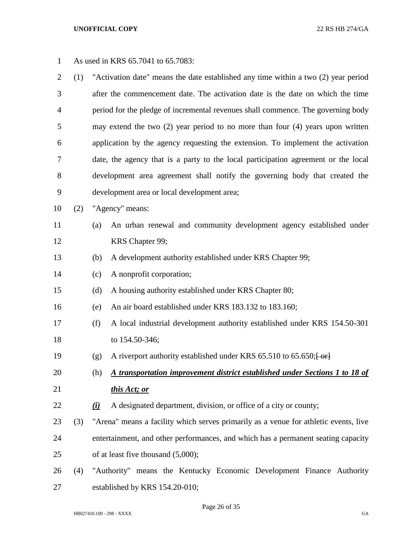| $\mathbf{1}$   |     | As used in KRS 65.7041 to 65.7083:                                    |                                                                                      |  |  |  |  |  |
|----------------|-----|-----------------------------------------------------------------------|--------------------------------------------------------------------------------------|--|--|--|--|--|
| $\overline{2}$ | (1) |                                                                       | "Activation date" means the date established any time within a two (2) year period   |  |  |  |  |  |
| 3              |     |                                                                       | after the commencement date. The activation date is the date on which the time       |  |  |  |  |  |
| $\overline{4}$ |     |                                                                       | period for the pledge of incremental revenues shall commence. The governing body     |  |  |  |  |  |
| 5              |     |                                                                       | may extend the two $(2)$ year period to no more than four $(4)$ years upon written   |  |  |  |  |  |
| 6              |     |                                                                       | application by the agency requesting the extension. To implement the activation      |  |  |  |  |  |
| 7              |     |                                                                       | date, the agency that is a party to the local participation agreement or the local   |  |  |  |  |  |
| 8              |     |                                                                       | development area agreement shall notify the governing body that created the          |  |  |  |  |  |
| 9              |     |                                                                       | development area or local development area;                                          |  |  |  |  |  |
| 10             | (2) |                                                                       | "Agency" means:                                                                      |  |  |  |  |  |
| 11             |     | (a)                                                                   | An urban renewal and community development agency established under                  |  |  |  |  |  |
| 12             |     |                                                                       | KRS Chapter 99;                                                                      |  |  |  |  |  |
| 13             |     | (b)                                                                   | A development authority established under KRS Chapter 99;                            |  |  |  |  |  |
| 14             |     | (c)                                                                   | A nonprofit corporation;                                                             |  |  |  |  |  |
| 15             |     | (d)                                                                   | A housing authority established under KRS Chapter 80;                                |  |  |  |  |  |
| 16             |     | (e)                                                                   | An air board established under KRS 183.132 to 183.160;                               |  |  |  |  |  |
| 17             |     | (f)                                                                   | A local industrial development authority established under KRS 154.50-301            |  |  |  |  |  |
| 18             |     |                                                                       | to 154.50-346;                                                                       |  |  |  |  |  |
| 19             |     | (g)                                                                   | A riverport authority established under KRS 65.510 to 65.650; [ or]                  |  |  |  |  |  |
| 20             |     | (h)                                                                   | A transportation improvement district established under Sections 1 to 18 of          |  |  |  |  |  |
| 21             |     |                                                                       | this Act; or                                                                         |  |  |  |  |  |
| 22             |     | $\Omega$                                                              | A designated department, division, or office of a city or county;                    |  |  |  |  |  |
| 23             | (3) |                                                                       | "Arena" means a facility which serves primarily as a venue for athletic events, live |  |  |  |  |  |
| 24             |     |                                                                       | entertainment, and other performances, and which has a permanent seating capacity    |  |  |  |  |  |
| 25             |     | of at least five thousand $(5,000)$ ;                                 |                                                                                      |  |  |  |  |  |
| 26             | (4) | "Authority" means the Kentucky Economic Development Finance Authority |                                                                                      |  |  |  |  |  |
| 27             |     | established by KRS 154.20-010;                                        |                                                                                      |  |  |  |  |  |

Page 26 of 35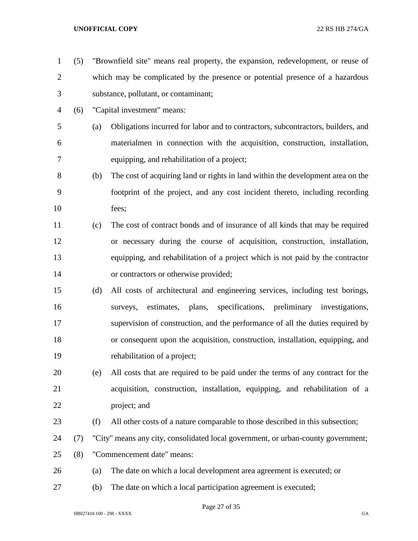(5) "Brownfield site" means real property, the expansion, redevelopment, or reuse of which may be complicated by the presence or potential presence of a hazardous substance, pollutant, or contaminant; (6) "Capital investment" means: (a) Obligations incurred for labor and to contractors, subcontractors, builders, and materialmen in connection with the acquisition, construction, installation, equipping, and rehabilitation of a project; (b) The cost of acquiring land or rights in land within the development area on the footprint of the project, and any cost incident thereto, including recording fees; (c) The cost of contract bonds and of insurance of all kinds that may be required or necessary during the course of acquisition, construction, installation, equipping, and rehabilitation of a project which is not paid by the contractor or contractors or otherwise provided; (d) All costs of architectural and engineering services, including test borings, surveys, estimates, plans, specifications, preliminary investigations, supervision of construction, and the performance of all the duties required by or consequent upon the acquisition, construction, installation, equipping, and rehabilitation of a project; (e) All costs that are required to be paid under the terms of any contract for the acquisition, construction, installation, equipping, and rehabilitation of a project; and (f) All other costs of a nature comparable to those described in this subsection; (7) "City" means any city, consolidated local government, or urban-county government; (8) "Commencement date" means: (a) The date on which a local development area agreement is executed; or (b) The date on which a local participation agreement is executed;

Page 27 of 35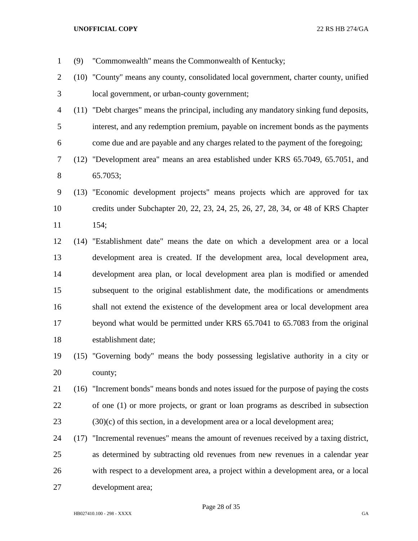- (9) "Commonwealth" means the Commonwealth of Kentucky; (10) "County" means any county, consolidated local government, charter county, unified local government, or urban-county government; (11) "Debt charges" means the principal, including any mandatory sinking fund deposits, interest, and any redemption premium, payable on increment bonds as the payments come due and are payable and any charges related to the payment of the foregoing; (12) "Development area" means an area established under KRS 65.7049, 65.7051, and 65.7053; (13) "Economic development projects" means projects which are approved for tax credits under Subchapter 20, 22, 23, 24, 25, 26, 27, 28, 34, or 48 of KRS Chapter 154; (14) "Establishment date" means the date on which a development area or a local development area is created. If the development area, local development area, development area plan, or local development area plan is modified or amended subsequent to the original establishment date, the modifications or amendments shall not extend the existence of the development area or local development area beyond what would be permitted under KRS 65.7041 to 65.7083 from the original establishment date; (15) "Governing body" means the body possessing legislative authority in a city or county; (16) "Increment bonds" means bonds and notes issued for the purpose of paying the costs of one (1) or more projects, or grant or loan programs as described in subsection (30)(c) of this section, in a development area or a local development area; (17) "Incremental revenues" means the amount of revenues received by a taxing district, as determined by subtracting old revenues from new revenues in a calendar year with respect to a development area, a project within a development area, or a local development area;
	- HB027410.100 298 XXXX GA

Page 28 of 35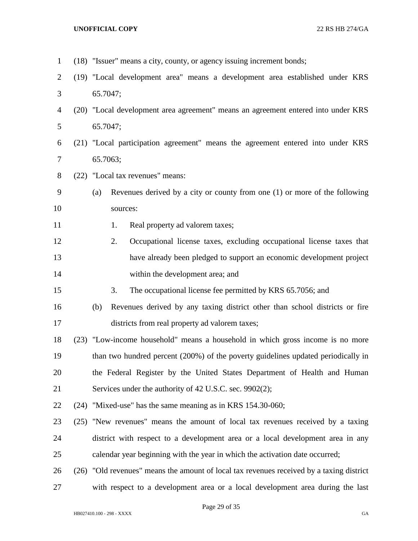| $\mathbf{1}$   | (18) "Issuer" means a city, county, or agency issuing increment bonds;                   |  |  |  |  |  |
|----------------|------------------------------------------------------------------------------------------|--|--|--|--|--|
| $\overline{2}$ | (19) "Local development area" means a development area established under KRS             |  |  |  |  |  |
| 3              | 65.7047;                                                                                 |  |  |  |  |  |
| $\overline{4}$ | (20) "Local development area agreement" means an agreement entered into under KRS        |  |  |  |  |  |
| 5              | 65.7047;                                                                                 |  |  |  |  |  |
| 6              | (21) "Local participation agreement" means the agreement entered into under KRS          |  |  |  |  |  |
| 7              | 65.7063;                                                                                 |  |  |  |  |  |
| $8\,$          | (22) "Local tax revenues" means:                                                         |  |  |  |  |  |
| 9              | Revenues derived by a city or county from one (1) or more of the following<br>(a)        |  |  |  |  |  |
| 10             | sources:                                                                                 |  |  |  |  |  |
| 11             | Real property ad valorem taxes;<br>1.                                                    |  |  |  |  |  |
| 12             | Occupational license taxes, excluding occupational license taxes that<br>2.              |  |  |  |  |  |
| 13             | have already been pledged to support an economic development project                     |  |  |  |  |  |
| 14             | within the development area; and                                                         |  |  |  |  |  |
| 15             | The occupational license fee permitted by KRS 65.7056; and<br>3.                         |  |  |  |  |  |
| 16             | Revenues derived by any taxing district other than school districts or fire<br>(b)       |  |  |  |  |  |
| 17             | districts from real property ad valorem taxes;                                           |  |  |  |  |  |
| 18             | (23) "Low-income household" means a household in which gross income is no more           |  |  |  |  |  |
| 19             | than two hundred percent (200%) of the poverty guidelines updated periodically in        |  |  |  |  |  |
| 20             | the Federal Register by the United States Department of Health and Human                 |  |  |  |  |  |
| 21             | Services under the authority of 42 U.S.C. sec. 9902(2);                                  |  |  |  |  |  |
| 22             | (24) "Mixed-use" has the same meaning as in KRS 154.30-060;                              |  |  |  |  |  |
| 23             | (25) "New revenues" means the amount of local tax revenues received by a taxing          |  |  |  |  |  |
| 24             | district with respect to a development area or a local development area in any           |  |  |  |  |  |
| 25             | calendar year beginning with the year in which the activation date occurred;             |  |  |  |  |  |
| 26             | (26) "Old revenues" means the amount of local tax revenues received by a taxing district |  |  |  |  |  |
| 27             | with respect to a development area or a local development area during the last           |  |  |  |  |  |

Page 29 of 35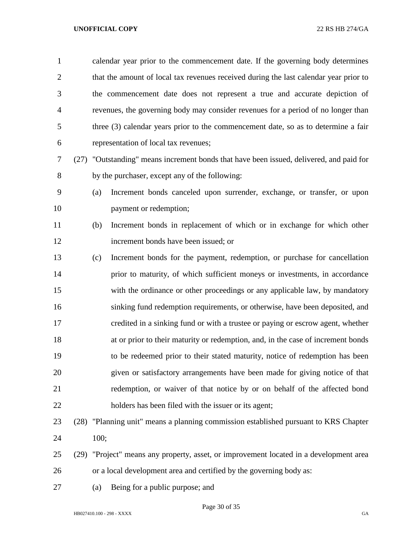| $\mathbf{1}$   |      |                                                                                       | calendar year prior to the commencement date. If the governing body determines     |  |  |  |  |  |
|----------------|------|---------------------------------------------------------------------------------------|------------------------------------------------------------------------------------|--|--|--|--|--|
| $\overline{2}$ |      | that the amount of local tax revenues received during the last calendar year prior to |                                                                                    |  |  |  |  |  |
| 3              |      |                                                                                       | the commencement date does not represent a true and accurate depiction of          |  |  |  |  |  |
| $\overline{4}$ |      |                                                                                       | revenues, the governing body may consider revenues for a period of no longer than  |  |  |  |  |  |
| 5              |      | three (3) calendar years prior to the commencement date, so as to determine a fair    |                                                                                    |  |  |  |  |  |
| 6              |      |                                                                                       | representation of local tax revenues;                                              |  |  |  |  |  |
| 7              | (27) |                                                                                       | "Outstanding" means increment bonds that have been issued, delivered, and paid for |  |  |  |  |  |
| 8              |      |                                                                                       | by the purchaser, except any of the following:                                     |  |  |  |  |  |
| 9              |      | (a)                                                                                   | Increment bonds canceled upon surrender, exchange, or transfer, or upon            |  |  |  |  |  |
| 10             |      |                                                                                       | payment or redemption;                                                             |  |  |  |  |  |
| 11             |      | (b)                                                                                   | Increment bonds in replacement of which or in exchange for which other             |  |  |  |  |  |
| 12             |      |                                                                                       | increment bonds have been issued; or                                               |  |  |  |  |  |
| 13             |      | (c)                                                                                   | Increment bonds for the payment, redemption, or purchase for cancellation          |  |  |  |  |  |
| 14             |      |                                                                                       | prior to maturity, of which sufficient moneys or investments, in accordance        |  |  |  |  |  |
| 15             |      |                                                                                       | with the ordinance or other proceedings or any applicable law, by mandatory        |  |  |  |  |  |
| 16             |      |                                                                                       | sinking fund redemption requirements, or otherwise, have been deposited, and       |  |  |  |  |  |
| 17             |      |                                                                                       | credited in a sinking fund or with a trustee or paying or escrow agent, whether    |  |  |  |  |  |
| 18             |      |                                                                                       | at or prior to their maturity or redemption, and, in the case of increment bonds   |  |  |  |  |  |
| 19             |      |                                                                                       | to be redeemed prior to their stated maturity, notice of redemption has been       |  |  |  |  |  |
| 20             |      |                                                                                       | given or satisfactory arrangements have been made for giving notice of that        |  |  |  |  |  |
| 21             |      |                                                                                       | redemption, or waiver of that notice by or on behalf of the affected bond          |  |  |  |  |  |
| 22             |      |                                                                                       | holders has been filed with the issuer or its agent;                               |  |  |  |  |  |
| 23             | (28) |                                                                                       | "Planning unit" means a planning commission established pursuant to KRS Chapter    |  |  |  |  |  |
| 24             |      | 100;                                                                                  |                                                                                    |  |  |  |  |  |
| 25             | (29) |                                                                                       | "Project" means any property, asset, or improvement located in a development area  |  |  |  |  |  |

- or a local development area and certified by the governing body as:
- (a) Being for a public purpose; and

Page 30 of 35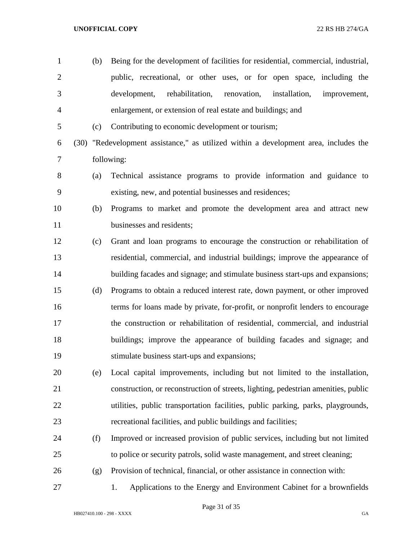(b) Being for the development of facilities for residential, commercial, industrial, public, recreational, or other uses, or for open space, including the development, rehabilitation, renovation, installation, improvement, enlargement, or extension of real estate and buildings; and (c) Contributing to economic development or tourism; (30) "Redevelopment assistance," as utilized within a development area, includes the following: (a) Technical assistance programs to provide information and guidance to existing, new, and potential businesses and residences; (b) Programs to market and promote the development area and attract new businesses and residents; (c) Grant and loan programs to encourage the construction or rehabilitation of residential, commercial, and industrial buildings; improve the appearance of building facades and signage; and stimulate business start-ups and expansions; (d) Programs to obtain a reduced interest rate, down payment, or other improved terms for loans made by private, for-profit, or nonprofit lenders to encourage the construction or rehabilitation of residential, commercial, and industrial buildings; improve the appearance of building facades and signage; and stimulate business start-ups and expansions; (e) Local capital improvements, including but not limited to the installation, construction, or reconstruction of streets, lighting, pedestrian amenities, public utilities, public transportation facilities, public parking, parks, playgrounds, recreational facilities, and public buildings and facilities; (f) Improved or increased provision of public services, including but not limited to police or security patrols, solid waste management, and street cleaning; (g) Provision of technical, financial, or other assistance in connection with: 1. Applications to the Energy and Environment Cabinet for a brownfields

Page 31 of 35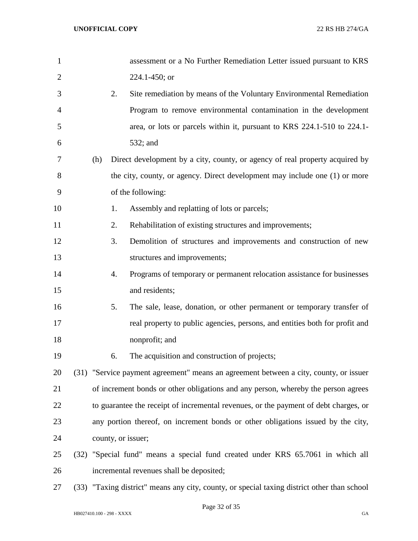| $\mathbf{1}$   |     |    | assessment or a No Further Remediation Letter issued pursuant to KRS                  |
|----------------|-----|----|---------------------------------------------------------------------------------------|
| $\overline{2}$ |     |    | 224.1-450; or                                                                         |
| 3              |     | 2. | Site remediation by means of the Voluntary Environmental Remediation                  |
| 4              |     |    | Program to remove environmental contamination in the development                      |
| 5              |     |    | area, or lots or parcels within it, pursuant to KRS 224.1-510 to 224.1-               |
| 6              |     |    | 532; and                                                                              |
| 7              | (h) |    | Direct development by a city, county, or agency of real property acquired by          |
| 8              |     |    | the city, county, or agency. Direct development may include one (1) or more           |
| 9              |     |    | of the following:                                                                     |
| 10             |     | 1. | Assembly and replatting of lots or parcels;                                           |
| 11             |     | 2. | Rehabilitation of existing structures and improvements;                               |
| 12             |     | 3. | Demolition of structures and improvements and construction of new                     |
| 13             |     |    | structures and improvements;                                                          |
| 14             |     | 4. | Programs of temporary or permanent relocation assistance for businesses               |
| 15             |     |    | and residents;                                                                        |
| 16             |     | 5. | The sale, lease, donation, or other permanent or temporary transfer of                |
| 17             |     |    | real property to public agencies, persons, and entities both for profit and           |
| 18             |     |    | nonprofit; and                                                                        |
| 19             |     | 6. | The acquisition and construction of projects;                                         |
| 20             |     |    | (31) "Service payment agreement" means an agreement between a city, county, or issuer |
| 21             |     |    | of increment bonds or other obligations and any person, whereby the person agrees     |
| 22             |     |    | to guarantee the receipt of incremental revenues, or the payment of debt charges, or  |
| 23             |     |    | any portion thereof, on increment bonds or other obligations issued by the city,      |
| 24             |     |    | county, or issuer;                                                                    |
| 25             |     |    | (32) "Special fund" means a special fund created under KRS 65.7061 in which all       |
| 26             |     |    | incremental revenues shall be deposited;                                              |

(33) "Taxing district" means any city, county, or special taxing district other than school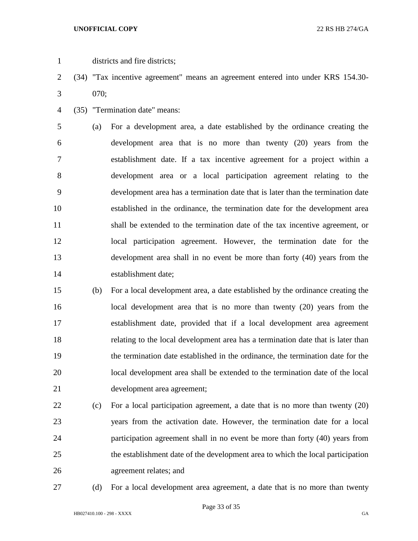- districts and fire districts;
- (34) "Tax incentive agreement" means an agreement entered into under KRS 154.30- 070;
- (35) "Termination date" means:

 (a) For a development area, a date established by the ordinance creating the development area that is no more than twenty (20) years from the establishment date. If a tax incentive agreement for a project within a development area or a local participation agreement relating to the development area has a termination date that is later than the termination date established in the ordinance, the termination date for the development area shall be extended to the termination date of the tax incentive agreement, or local participation agreement. However, the termination date for the development area shall in no event be more than forty (40) years from the establishment date;

- (b) For a local development area, a date established by the ordinance creating the local development area that is no more than twenty (20) years from the establishment date, provided that if a local development area agreement relating to the local development area has a termination date that is later than the termination date established in the ordinance, the termination date for the local development area shall be extended to the termination date of the local development area agreement;
- (c) For a local participation agreement, a date that is no more than twenty (20) years from the activation date. However, the termination date for a local participation agreement shall in no event be more than forty (40) years from the establishment date of the development area to which the local participation agreement relates; and
- 

(d) For a local development area agreement, a date that is no more than twenty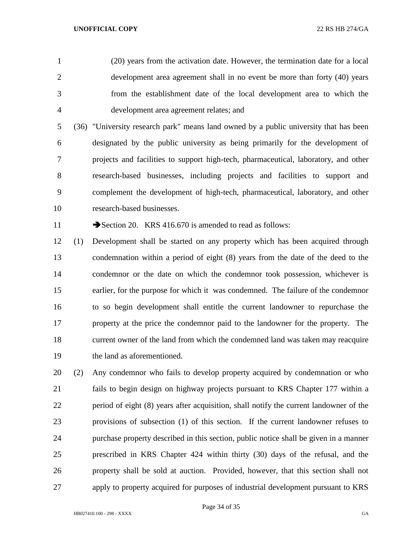(20) years from the activation date. However, the termination date for a local development area agreement shall in no event be more than forty (40) years from the establishment date of the local development area to which the development area agreement relates; and

 (36) "University research park" means land owned by a public university that has been designated by the public university as being primarily for the development of projects and facilities to support high-tech, pharmaceutical, laboratory, and other research-based businesses, including projects and facilities to support and complement the development of high-tech, pharmaceutical, laboratory, and other research-based businesses.

11 Section 20. KRS 416.670 is amended to read as follows:

 (1) Development shall be started on any property which has been acquired through condemnation within a period of eight (8) years from the date of the deed to the condemnor or the date on which the condemnor took possession, whichever is earlier, for the purpose for which it was condemned. The failure of the condemnor to so begin development shall entitle the current landowner to repurchase the property at the price the condemnor paid to the landowner for the property. The current owner of the land from which the condemned land was taken may reacquire the land as aforementioned.

 (2) Any condemnor who fails to develop property acquired by condemnation or who fails to begin design on highway projects pursuant to KRS Chapter 177 within a period of eight (8) years after acquisition, shall notify the current landowner of the provisions of subsection (1) of this section. If the current landowner refuses to purchase property described in this section, public notice shall be given in a manner prescribed in KRS Chapter 424 within thirty (30) days of the refusal, and the property shall be sold at auction. Provided, however, that this section shall not apply to property acquired for purposes of industrial development pursuant to KRS